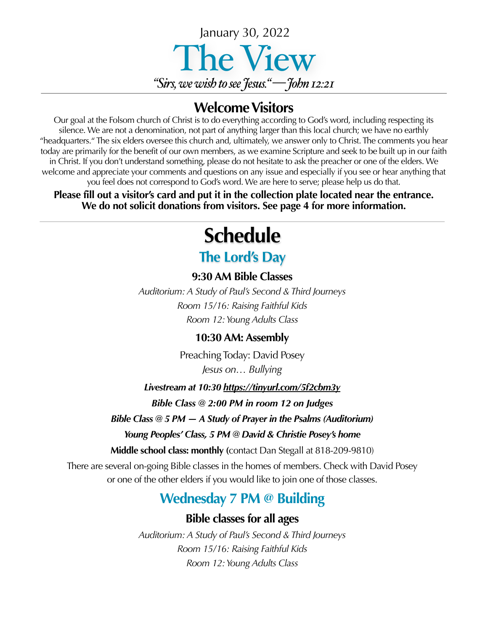

## **Welcome Visitors**

Our goal at the Folsom church of Christ is to do everything according to God's word, including respecting its silence. We are not a denomination, not part of anything larger than this local church; we have no earthly "headquarters." The six elders oversee this church and, ultimately, we answer only to Christ. The comments you hear today are primarily for the benefit of our own members, as we examine Scripture and seek to be built up in our faith in Christ. If you don't understand something, please do not hesitate to ask the preacher or one of the elders. We welcome and appreciate your comments and questions on any issue and especially if you see or hear anything that you feel does not correspond to God's word. We are here to serve; please help us do that.

**Please fill out a visitor's card and put it in the collection plate located near the entrance. We do not solicit donations from visitors. See page 4 for more information.**

# **Schedule**

# **The Lord's Day**

### **9:30 AM Bible Classes**

*Auditorium: A Study of Paul's Second & Third Journeys Room 15/16: Raising Faithful Kids Room 12: Young Adults Class*

### **10:30 AM: Assembly**

Preaching Today: David Posey *Jesus on… Bullying*

*Livestream at 10:30 <https://tinyurl.com/5f2cbm3y> Bible Class @ 2:00 PM in room 12 on Judges*

*Bible Class @ 5 PM — A Study of Prayer in the Psalms (Auditorium)*

#### *Young Peoples' Class, 5 PM @ David & Christie Posey's home*

**Middle school class: monthly (**contact Dan Stegall at 818-209-9810)

There are several on-going Bible classes in the homes of members. Check with David Posey or one of the other elders if you would like to join one of those classes.

## **Wednesday 7 PM @ Building**

## **Bible classes for all ages**

*Auditorium: A Study of Paul's Second & Third Journeys Room 15/16: Raising Faithful Kids Room 12: Young Adults Class*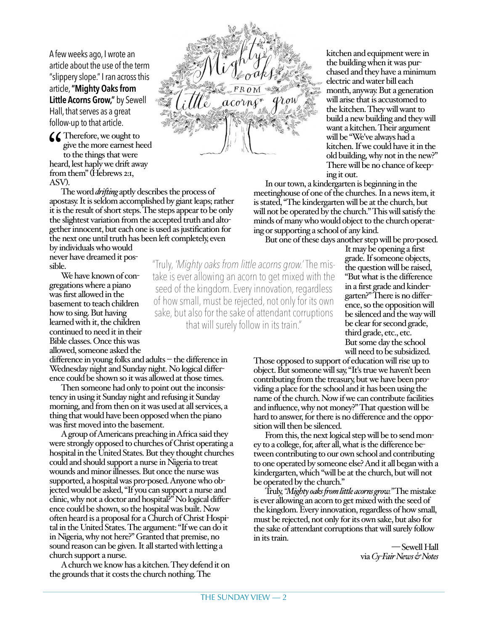A few weeks ago, I wrote an article about the use of the term "slippery slope." I ran across this article, **"Mighty Oaks from Little Acorns Grow,"** by Sewell Hall, that serves as a great follow-up to that article.

CC Therefore, we ought to<br>give the more earnest he<br>to the things that were<br>heard, lest haply we drift aw. give the more earnest heed to the things that were heard, lest haply we drift away from them" (Hebrews 2:1, ASV).

The word *drifting*aptly describes the process of apostasy. It is seldom accomplished by giant leaps; rather it is the result of short steps. The steps appear to be only the slightest variation from the accepted truth and altogether innocent, but each one is used as justification for the next one until truth has been left completely, even

by individuals who would never have dreamed it possible.

We have known of congregations where a piano was first allowed in the basement to teach children how to sing. But having learned with it, the children continued to need it in their Bible classes. Once this was allowed, someone asked the

 $difference in young folks and adults – the difference in$ Wednesday night and Sunday night. No logical difference could be shown so it was allowed at those times.

Then someone had only to point out the inconsistency in using it Sunday night and refusing it Sunday morning, and from then on it was used at all services, a thing that would have been opposed when the piano was first moved into the basement.

A group of Americans preaching in Africa said they were strongly opposed to churches of Christ operating a hospital in the United States. But they thought churches could and should support a nurse in Nigeria to treat wounds and minor illnesses. But once the nurse was supported, a hospital was pro-posed. Anyone who objected would be asked, "If you can support a nurse and clinic, why not a doctor and hospital?" No logical difference could be shown, so the hospital was built. Now often heard is a proposal for a Church of Christ Hospital in the United States. The argument: "If we can do it in Nigeria, why not here?" Granted that premise, no sound reason can be given. It all started with letting a church support a nurse.

A church we know has a kitchen. They defend it on the grounds that it costs the church nothing. The

kitchen and equipment were in the building when it was purchased and they have a minimum electric and water bill each month, anyway. But a generation will arise that is accustomed to the kitchen. They will want to build a new building and they will want a kitchen. Their argument will be "We've always had a kitchen. If we could have it in the old building, why not in the new?" There will be no chance of keeping it out.

In our town, a kindergarten is beginning in the meetinghouse of one of the churches. In a news item, it is stated, "The kindergarten will be at the church, but will not be operated by the church." This will satisfy the minds of many who would object to the church operating or supporting a school of any kind.

But one of these days another step will be pro-posed.

"Truly, *'Mighty oaks from little acorns grow.'* The mistake is ever allowing an acorn to get mixed with the seed of the kingdom. Every innovation, regardless of how small, must be rejected, not only for its own sake, but also for the sake of attendant corruptions that will surely follow in its train."

It may be opening a first grade. If someone objects, the question will be raised, "But what is the difference in a first grade and kindergarten?" There is no difference, so the opposition will be silenced and the way will be clear for second grade, third grade, etc., etc. But some day the school will need to be subsidized.

Those opposed to support of education will rise up to object. But someone will say, "It's true we haven't been contributing from the treasury, but we have been providing a place for the school and it has been using the name of the church. Now if we can contribute facilities and influence, why not money?" That question will be hard to answer, for there is no difference and the opposition will then be silenced.

From this, the next logical step will be to send money to a college, for, after all, what is the difference between contributing to our own school and contributing to one operated by someone else? And it all began with a kindergarten, which "will be at the church, but will not be operated by the church."

Truly, *"Mighty oaks from little acorns grow."* The mistake is ever allowing an acorn to get mixed with the seed of the kingdom. Every innovation, regardless of how small, must be rejected, not only for its own sake, but also for the sake of attendant corruptions that will surely follow in its train.

— Sewell Hall via *Cy-Fair News & Notes*